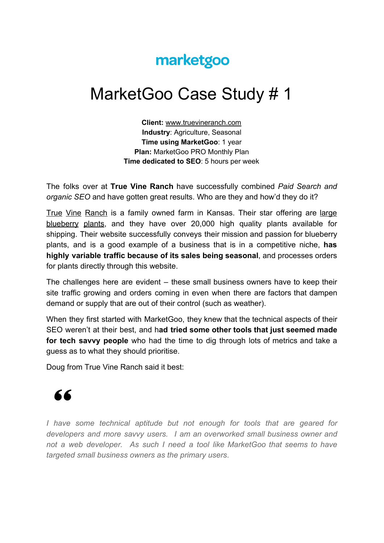## marketgoo

## MarketGoo Case Study # 1

**Client:** [www.truevineranch.com](http://www.truevineranch.com/) **Industry**: Agriculture, Seasonal **Time using MarketGoo**: 1 year **Plan:** MarketGoo PRO Monthly Plan **Time dedicated to SEO**: 5 hours per week

The folks over at **True Vine Ranch** have successfully combined *Paid Search and organic SEO* and have gotten great results. Who are they and how'd they do it?

True Vine [Ranch](https://www.truevineranch.com/) is a family owned farm in Kansas. Their star offering are [large](https://www.truevineranch.com/blueberry-plants.html) [blueberry](https://www.truevineranch.com/blueberry-plants.html) plants, and they have over 20,000 high quality plants available for shipping. Their website successfully conveys their mission and passion for blueberry plants, and is a good example of a business that is in a competitive niche, **has highly variable traffic because of its sales being seasonal**, and processes orders for plants directly through this website.

The challenges here are evident – these small business owners have to keep their site traffic growing and orders coming in even when there are factors that dampen demand or supply that are out of their control (such as weather).

When they first started with MarketGoo, they knew that the technical aspects of their SEO weren't at their best, and h**ad tried some other tools that just seemed made for tech savvy people** who had the time to dig through lots of metrics and take a guess as to what they should prioritise.

Doug from True Vine Ranch said it best:

## 66

*I have some technical aptitude but not enough for tools that are geared for developers and more savvy users. I am an overworked small business owner and not a web developer. As such I need a tool like MarketGoo that seems to have targeted small business owners as the primary users*.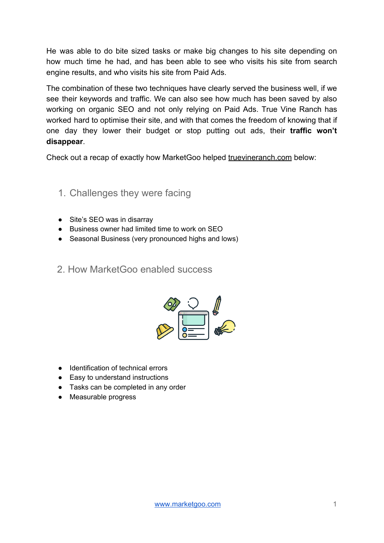He was able to do bite sized tasks or make big changes to his site depending on how much time he had, and has been able to see who visits his site from search engine results, and who visits his site from Paid Ads.

The combination of these two techniques have clearly served the business well, if we see their keywords and traffic. We can also see how much has been saved by also working on organic SEO and not only relying on Paid Ads. True Vine Ranch has worked hard to optimise their site, and with that comes the freedom of knowing that if one day they lower their budget or stop putting out ads, their **traffic won't disappear**.

Check out a recap of exactly how MarketGoo helped [truevineranch.com](http://www.truevineranch.com/) below:

- 1. Challenges they were facing
- Site's SEO was in disarray
- Business owner had limited time to work on SEO
- Seasonal Business (very pronounced highs and lows)
- 2. How MarketGoo enabled success



- Identification of technical errors
- Easy to understand instructions
- Tasks can be completed in any order
- Measurable progress